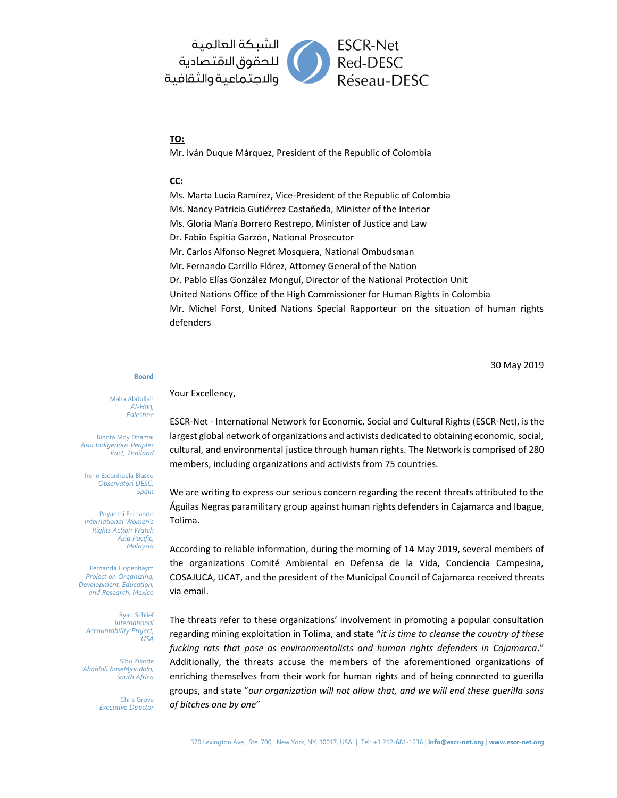

## **TO:**

Mr. Iván Duque Márquez, President of the Republic of Colombia

## **CC:**

Ms. Marta Lucía Ramírez, Vice-President of the Republic of Colombia Ms. Nancy Patricia Gutiérrez Castañeda, Minister of the Interior Ms. Gloria María Borrero Restrepo, Minister of Justice and Law Dr. Fabio Espitia Garzón, National Prosecutor Mr. Carlos Alfonso Negret Mosquera, National Ombudsman Mr. Fernando Carrillo Flórez, Attorney General of the Nation Dr. Pablo Elías González Monguí, Director of the National Protection Unit United Nations Office of the High Commissioner for Human Rights in Colombia Mr. Michel Forst, United Nations Special Rapporteur on the situation of human rights defenders

30 May 2019

## **Board**

Maha Abdullah *Al-Haq, Palestine*

Binota Moy Dhamai *Asia Indigenous Peoples Pact, Thailand*

Irene Escorihuela Blasco *Observatori DESC, Spain*

Priyanthi Fernando *International Women's Rights Action Watch Asia Pacific, Malaysia*

Fernanda Hopenhaym *Project on Organizing, Development, Education, and Research, Mexico*

Ryan Schlief *International Accountability Project, USA*

S'bu Zikode *Abahlali baseMjondolo, South Africa*

> Chris Grove *Executive Director*

Your Excellency,

ESCR-Net - International Network for Economic, Social and Cultural Rights (ESCR-Net), is the largest global network of organizations and activists dedicated to obtaining economic, social, cultural, and environmental justice through human rights. The Network is comprised of 280 members, including organizations and activists from 75 countries.

We are writing to express our serious concern regarding the recent threats attributed to the Águilas Negras paramilitary group against human rights defenders in Cajamarca and Ibague, Tolima.

According to reliable information, during the morning of 14 May 2019, several members of the organizations Comité Ambiental en Defensa de la Vida, Conciencia Campesina, COSAJUCA, UCAT, and the president of the Municipal Council of Cajamarca received threats via email.

The threats refer to these organizations' involvement in promoting a popular consultation regarding mining exploitation in Tolima, and state "*it is time to cleanse the country of these fucking rats that pose as environmentalists and human rights defenders in Cajamarca*." Additionally, the threats accuse the members of the aforementioned organizations of enriching themselves from their work for human rights and of being connected to guerilla groups, and state "*our organization will not allow that, and we will end these guerilla sons of bitches one by one*"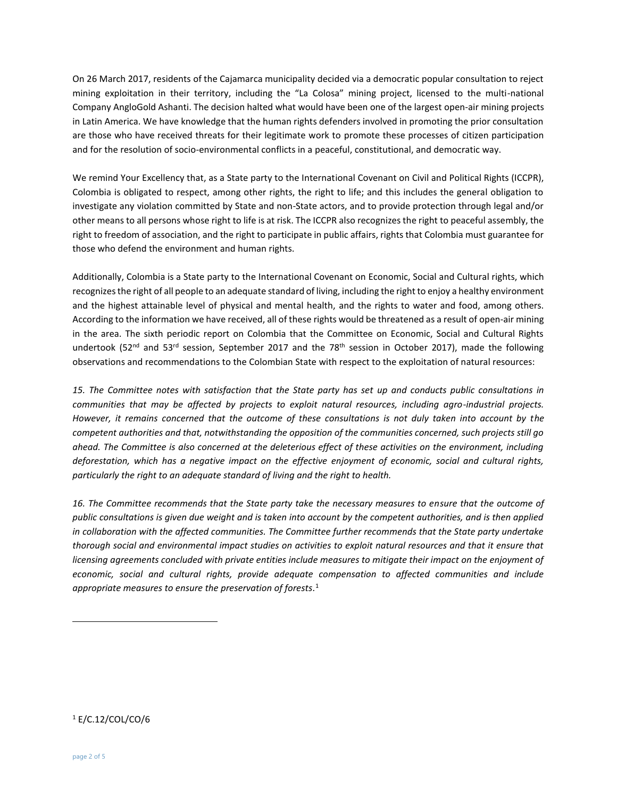On 26 March 2017, residents of the Cajamarca municipality decided via a democratic popular consultation to reject mining exploitation in their territory, including the "La Colosa" mining project, licensed to the multi-national Company AngloGold Ashanti. The decision halted what would have been one of the largest open-air mining projects in Latin America. We have knowledge that the human rights defenders involved in promoting the prior consultation are those who have received threats for their legitimate work to promote these processes of citizen participation and for the resolution of socio-environmental conflicts in a peaceful, constitutional, and democratic way.

We remind Your Excellency that, as a State party to the International Covenant on Civil and Political Rights (ICCPR), Colombia is obligated to respect, among other rights, the right to life; and this includes the general obligation to investigate any violation committed by State and non-State actors, and to provide protection through legal and/or other means to all persons whose right to life is at risk. The ICCPR also recognizes the right to peaceful assembly, the right to freedom of association, and the right to participate in public affairs, rights that Colombia must guarantee for those who defend the environment and human rights.

Additionally, Colombia is a State party to the International Covenant on Economic, Social and Cultural rights, which recognizes the right of all people to an adequate standard of living, including the right to enjoy a healthy environment and the highest attainable level of physical and mental health, and the rights to water and food, among others. According to the information we have received, all of these rights would be threatened as a result of open-air mining in the area. The sixth periodic report on Colombia that the Committee on Economic, Social and Cultural Rights undertook (52<sup>nd</sup> and 53<sup>rd</sup> session, September 2017 and the 78<sup>th</sup> session in October 2017), made the following observations and recommendations to the Colombian State with respect to the exploitation of natural resources:

*15. The Committee notes with satisfaction that the State party has set up and conducts public consultations in communities that may be affected by projects to exploit natural resources, including agro-industrial projects. However, it remains concerned that the outcome of these consultations is not duly taken into account by the competent authorities and that, notwithstanding the opposition of the communities concerned, such projects still go ahead. The Committee is also concerned at the deleterious effect of these activities on the environment, including deforestation, which has a negative impact on the effective enjoyment of economic, social and cultural rights, particularly the right to an adequate standard of living and the right to health.* 

*16. The Committee recommends that the State party take the necessary measures to ensure that the outcome of public consultations is given due weight and is taken into account by the competent authorities, and is then applied in collaboration with the affected communities. The Committee further recommends that the State party undertake*  thorough social and environmental impact studies on activities to exploit natural resources and that it ensure that *licensing agreements concluded with private entities include measures to mitigate their impact on the enjoyment of economic, social and cultural rights, provide adequate compensation to affected communities and include appropriate measures to ensure the preservation of forests.* 1

<sup>1</sup> E/C.12/COL/CO/6

 $\overline{a}$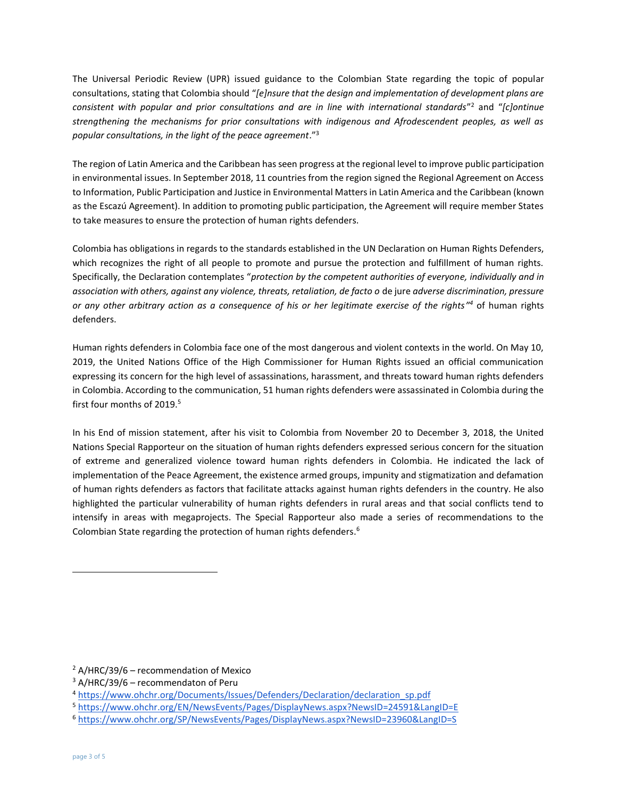The Universal Periodic Review (UPR) issued guidance to the Colombian State regarding the topic of popular consultations, stating that Colombia should "*[e]nsure that the design and implementation of development plans are consistent with popular and prior consultations and are in line with international standards*" <sup>2</sup> and "*[c]ontinue strengthening the mechanisms for prior consultations with indigenous and Afrodescendent peoples, as well as popular consultations, in the light of the peace agreement*." 3

The region of Latin America and the Caribbean has seen progress at the regional level to improve public participation in environmental issues. In September 2018, 11 countries from the region signed the Regional Agreement on Access to Information, Public Participation and Justice in Environmental Matters in Latin America and the Caribbean (known as the Escazú Agreement). In addition to promoting public participation, the Agreement will require member States to take measures to ensure the protection of human rights defenders.

Colombia has obligations in regards to the standards established in the UN Declaration on Human Rights Defenders, which recognizes the right of all people to promote and pursue the protection and fulfillment of human rights. Specifically, the Declaration contemplates "*protection by the competent authorities of everyone, individually and in association with others, against any violence, threats, retaliation, de facto o* de jure *adverse discrimination, pressure or any other arbitrary action as a consequence of his or her legitimate exercise of the rights" <sup>4</sup>* of human rights defenders.

Human rights defenders in Colombia face one of the most dangerous and violent contexts in the world. On May 10, 2019, the United Nations Office of the High Commissioner for Human Rights issued an official communication expressing its concern for the high level of assassinations, harassment, and threats toward human rights defenders in Colombia. According to the communication, 51 human rights defenders were assassinated in Colombia during the first four months of 2019. 5

In his End of mission statement, after his visit to Colombia from November 20 to December 3, 2018, the United Nations Special Rapporteur on the situation of human rights defenders expressed serious concern for the situation of extreme and generalized violence toward human rights defenders in Colombia. He indicated the lack of implementation of the Peace Agreement, the existence armed groups, impunity and stigmatization and defamation of human rights defenders as factors that facilitate attacks against human rights defenders in the country. He also highlighted the particular vulnerability of human rights defenders in rural areas and that social conflicts tend to intensify in areas with megaprojects. The Special Rapporteur also made a series of recommendations to the Colombian State regarding the protection of human rights defenders.<sup>6</sup>

 $\overline{a}$ 

 $2$  A/HRC/39/6 – recommendation of Mexico

 $3$  A/HRC/39/6 – recommendaton of Peru

<sup>4</sup> [https://www.ohchr.org/Documents/Issues/Defenders/Declaration/declaration\\_sp.pdf](https://www.ohchr.org/Documents/Issues/Defenders/Declaration/declaration_sp.pdf) 

<sup>5</sup> <https://www.ohchr.org/EN/NewsEvents/Pages/DisplayNews.aspx?NewsID=24591&LangID=E>

<sup>6</sup> <https://www.ohchr.org/SP/NewsEvents/Pages/DisplayNews.aspx?NewsID=23960&LangID=S>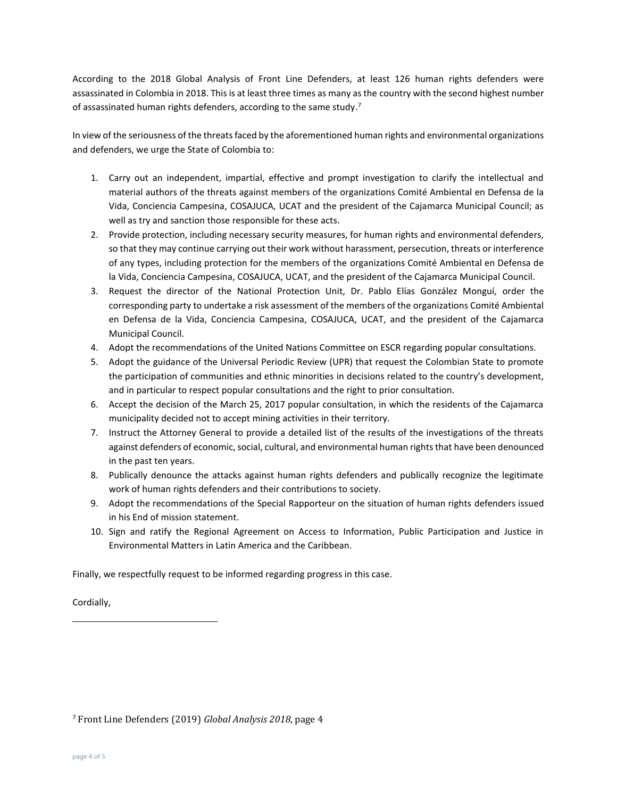According to the 2018 Global Analysis of Front Line Defenders, at least 126 human rights defenders were assassinated in Colombia in 2018. This is at least three times as many as the country with the second highest number of assassinated human rights defenders, according to the same study.<sup>7</sup>

In view of the seriousness of the threats faced by the aforementioned human rights and environmental organizations and defenders, we urge the State of Colombia to:

- 1. Carry out an independent, impartial, effective and prompt investigation to clarify the intellectual and material authors of the threats against members of the organizations Comité Ambiental en Defensa de la Vida, Conciencia Campesina, COSAJUCA, UCAT and the president of the Cajamarca Municipal Council; as well as try and sanction those responsible for these acts.
- 2. Provide protection, including necessary security measures, for human rights and environmental defenders, so that they may continue carrying out their work without harassment, persecution, threats or interference of any types, including protection for the members of the organizations Comité Ambiental en Defensa de la Vida, Conciencia Campesina, COSAJUCA, UCAT, and the president of the Cajamarca Municipal Council.
- 3. Request the director of the National Protection Unit, Dr. Pablo Elías González Monguí, order the corresponding party to undertake a risk assessment of the members of the organizations Comité Ambiental en Defensa de la Vida, Conciencia Campesina, COSAJUCA, UCAT, and the president of the Cajamarca Municipal Council.
- 4. Adopt the recommendations of the United Nations Committee on ESCR regarding popular consultations.
- 5. Adopt the guidance of the Universal Periodic Review (UPR) that request the Colombian State to promote the participation of communities and ethnic minorities in decisions related to the country's development, and in particular to respect popular consultations and the right to prior consultation.
- 6. Accept the decision of the March 25, 2017 popular consultation, in which the residents of the Cajamarca municipality decided not to accept mining activities in their territory.
- 7. Instruct the Attorney General to provide a detailed list of the results of the investigations of the threats against defenders of economic, social, cultural, and environmental human rights that have been denounced in the past ten years.
- 8. Publically denounce the attacks against human rights defenders and publically recognize the legitimate work of human rights defenders and their contributions to society.
- 9. Adopt the recommendations of the Special Rapporteur on the situation of human rights defenders issued in his End of mission statement.
- 10. Sign and ratify the Regional Agreement on Access to Information, Public Participation and Justice in Environmental Matters in Latin America and the Caribbean.

Finally, we respectfully request to be informed regarding progress in this case.

Cordially,

 $\overline{a}$ 

<sup>7</sup> Front Line Defenders (2019) *Global Analysis 2018*, page 4